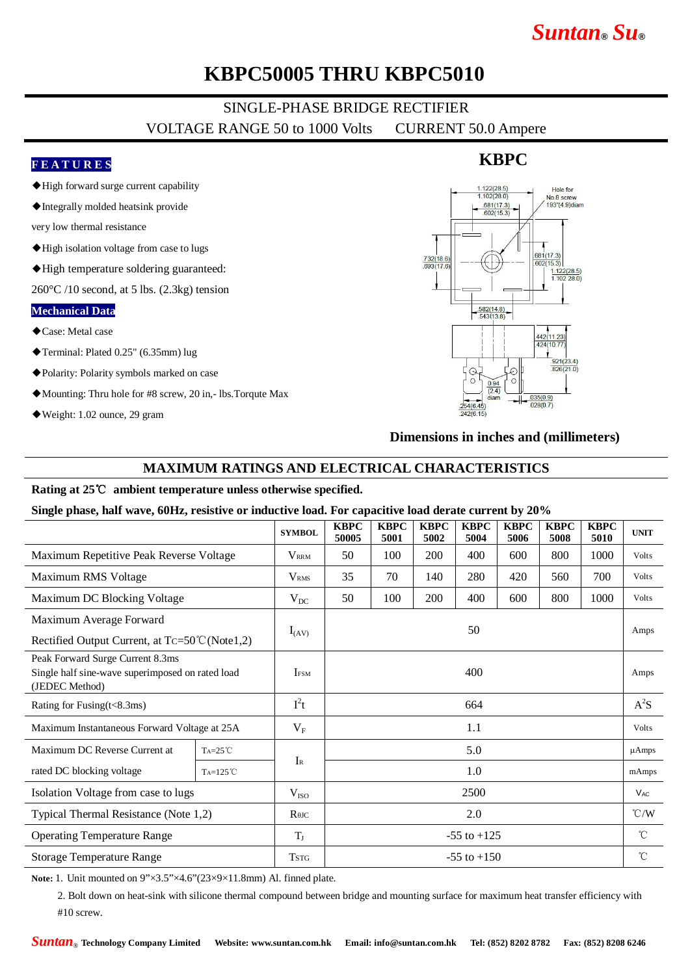# *Suntan***®** *Su***®**

### **KBPC50005 THRU KBPC5010**

## SINGLE-PHASE BRIDGE RECTIFIER

VOLTAGE RANGE 50 to 1000 Volts CURRENT 50.0 Ampere

#### **F E A T U R E S**

- ◆High forward surge current capability
- ◆Integrally molded heatsink provide

very low thermal resistance

- ◆High isolation voltage from case to lugs
- ◆High temperature soldering guaranteed:

 $260^{\circ}$ C /10 second, at 5 lbs. (2.3kg) tension

#### **Mechanical Data**

◆Case: Metal case

◆Terminal: Plated 0.25" (6.35mm) lug

- ◆Polarity: Polarity symbols marked on case
- ◆Mounting: Thru hole for #8 screw, 20 in,- lbs.Torqute Max
- ◆Weight: 1.02 ounce, 29 gram



**Dimensions in inches and (millimeters)**

#### **MAXIMUM RATINGS AND ELECTRICAL CHARACTERISTICS**

#### **Rating at 25**℃ **ambient temperature unless otherwise specified.**

**Single phase, half wave, 60Hz, resistive or inductive load. For capacitive load derate current by 20%**

|                                                                                                        |                   | <b>SYMBOL</b>           | <b>KBPC</b><br>50005 | <b>KBPC</b><br>5001 | <b>KBPC</b><br>5002 | <b>KBPC</b><br>5004 | <b>KBPC</b><br>5006 | <b>KBPC</b><br>5008 | <b>KBPC</b><br>5010 | <b>UNIT</b>   |
|--------------------------------------------------------------------------------------------------------|-------------------|-------------------------|----------------------|---------------------|---------------------|---------------------|---------------------|---------------------|---------------------|---------------|
| Maximum Repetitive Peak Reverse Voltage                                                                |                   | $V_{\rm RRM}$           | 50                   | 100                 | 200                 | 400                 | 600                 | 800                 | 1000                | Volts         |
| Maximum RMS Voltage                                                                                    |                   | <b>V</b> <sub>RMS</sub> | 35                   | 70                  | 140                 | 280                 | 420                 | 560                 | 700                 | <b>Volts</b>  |
| Maximum DC Blocking Voltage                                                                            |                   | $V_{DC}$                | 50                   | 100                 | 200                 | 400                 | 600                 | 800                 | 1000                | Volts         |
| Maximum Average Forward                                                                                |                   | $I_{(AV)}$              | 50                   |                     |                     |                     |                     |                     |                     | Amps          |
| Rectified Output Current, at $Tc = 50^{\circ}C(Note1,2)$                                               |                   |                         |                      |                     |                     |                     |                     |                     |                     |               |
| Peak Forward Surge Current 8.3ms<br>Single half sine-wave superimposed on rated load<br>(JEDEC Method) |                   | <b>IFSM</b>             | 400                  |                     |                     |                     |                     |                     |                     | Amps          |
| Rating for Fusing(t<8.3ms)                                                                             |                   | $I^2t$                  | 664                  |                     |                     |                     |                     |                     |                     | $A^2S$        |
| Maximum Instantaneous Forward Voltage at 25A                                                           |                   | $V_F$                   | 1.1                  |                     |                     |                     |                     |                     |                     | <b>Volts</b>  |
| Maximum DC Reverse Current at                                                                          | $Ta=25^{\circ}C$  |                         | 5.0                  |                     |                     |                     |                     |                     |                     | $\mu$ Amps    |
| rated DC blocking voltage                                                                              | $Ta=125^{\circ}C$ | $I_{R}$                 | 1.0                  |                     |                     |                     |                     |                     |                     | mAmps         |
| Isolation Voltage from case to lugs                                                                    |                   | V <sub>ISO</sub>        | 2500                 |                     |                     |                     |                     |                     |                     | $V_{AC}$      |
| Typical Thermal Resistance (Note 1,2)                                                                  |                   | $R$ $\theta$ JC         | 2.0                  |                     |                     |                     |                     |                     |                     | $\degree$ C/W |
| <b>Operating Temperature Range</b>                                                                     |                   | $T_{\rm J}$             | $-55$ to $+125$      |                     |                     |                     |                     |                     |                     | $^{\circ}$ C  |
| <b>Storage Temperature Range</b>                                                                       |                   | <b>TSTG</b>             | $-55$ to $+150$      |                     |                     |                     |                     |                     |                     | $^{\circ}$ C  |

Note: 1. Unit mounted on  $9'' \times 3.5'' \times 4.6'' (23 \times 9 \times 11.8 \text{mm})$  Al. finned plate.

2. Bolt down on heat-sink with silicone thermal compound between bridge and mounting surface for maximum heat transfer efficiency with #10 screw.